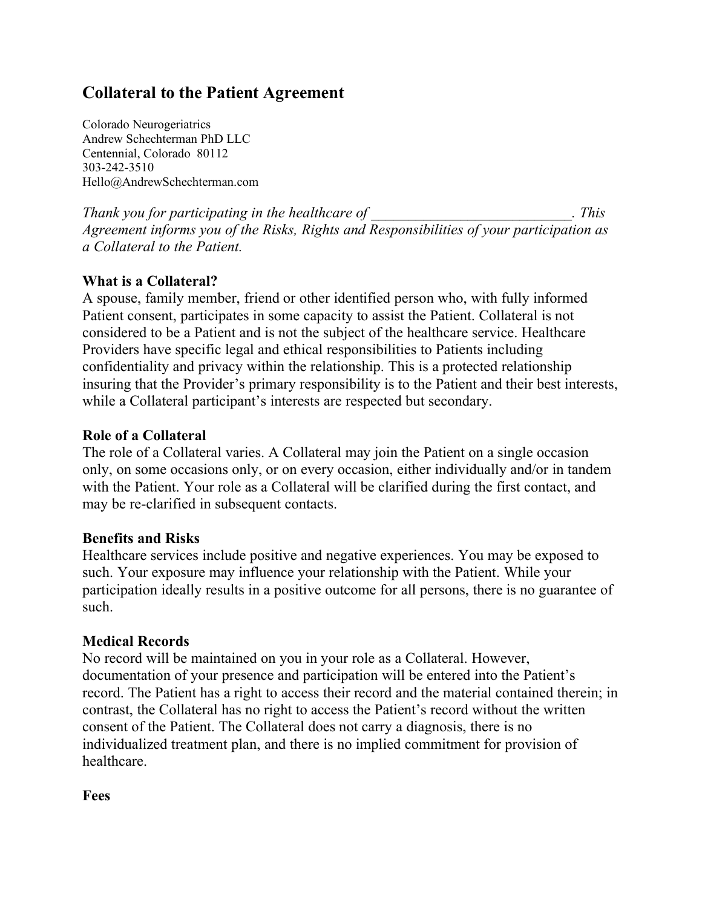# **Collateral to the Patient Agreement**

Colorado Neurogeriatrics Andrew Schechterman PhD LLC Centennial, Colorado 80112 303-242-3510 Hello@AndrewSchechterman.com

*Thank you for participating in the healthcare of*  $\blacksquare$  . This  $\blacksquare$ *Agreement informs you of the Risks, Rights and Responsibilities of your participation as a Collateral to the Patient.* 

## **What is a Collateral?**

A spouse, family member, friend or other identified person who, with fully informed Patient consent, participates in some capacity to assist the Patient. Collateral is not considered to be a Patient and is not the subject of the healthcare service. Healthcare Providers have specific legal and ethical responsibilities to Patients including confidentiality and privacy within the relationship. This is a protected relationship insuring that the Provider's primary responsibility is to the Patient and their best interests, while a Collateral participant's interests are respected but secondary.

### **Role of a Collateral**

The role of a Collateral varies. A Collateral may join the Patient on a single occasion only, on some occasions only, or on every occasion, either individually and/or in tandem with the Patient. Your role as a Collateral will be clarified during the first contact, and may be re-clarified in subsequent contacts.

### **Benefits and Risks**

Healthcare services include positive and negative experiences. You may be exposed to such. Your exposure may influence your relationship with the Patient. While your participation ideally results in a positive outcome for all persons, there is no guarantee of such.

#### **Medical Records**

No record will be maintained on you in your role as a Collateral. However, documentation of your presence and participation will be entered into the Patient's record. The Patient has a right to access their record and the material contained therein; in contrast, the Collateral has no right to access the Patient's record without the written consent of the Patient. The Collateral does not carry a diagnosis, there is no individualized treatment plan, and there is no implied commitment for provision of healthcare.

**Fees**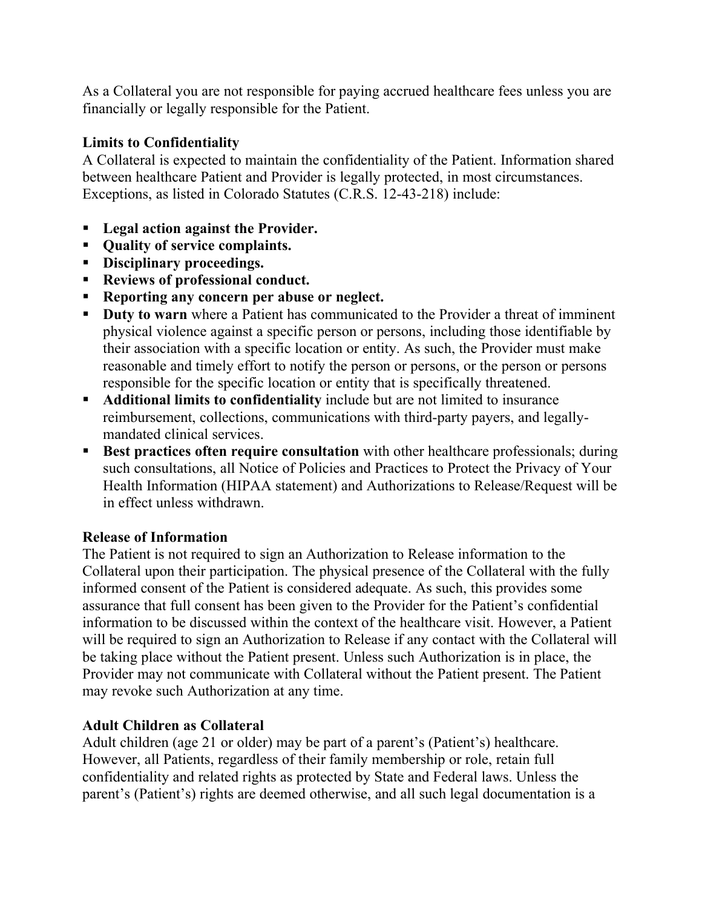As a Collateral you are not responsible for paying accrued healthcare fees unless you are financially or legally responsible for the Patient.

# **Limits to Confidentiality**

A Collateral is expected to maintain the confidentiality of the Patient. Information shared between healthcare Patient and Provider is legally protected, in most circumstances. Exceptions, as listed in Colorado Statutes (C.R.S. 12-43-218) include:

- § **Legal action against the Provider.**
- § **Quality of service complaints.**
- § **Disciplinary proceedings.**
- § **Reviews of professional conduct.**
- § **Reporting any concern per abuse or neglect.**
- § **Duty to warn** where a Patient has communicated to the Provider a threat of imminent physical violence against a specific person or persons, including those identifiable by their association with a specific location or entity. As such, the Provider must make reasonable and timely effort to notify the person or persons, or the person or persons responsible for the specific location or entity that is specifically threatened.
- § **Additional limits to confidentiality** include but are not limited to insurance reimbursement, collections, communications with third-party payers, and legallymandated clinical services.
- Best practices often require consultation with other healthcare professionals; during such consultations, all Notice of Policies and Practices to Protect the Privacy of Your Health Information (HIPAA statement) and Authorizations to Release/Request will be in effect unless withdrawn.

### **Release of Information**

The Patient is not required to sign an Authorization to Release information to the Collateral upon their participation. The physical presence of the Collateral with the fully informed consent of the Patient is considered adequate. As such, this provides some assurance that full consent has been given to the Provider for the Patient's confidential information to be discussed within the context of the healthcare visit. However, a Patient will be required to sign an Authorization to Release if any contact with the Collateral will be taking place without the Patient present. Unless such Authorization is in place, the Provider may not communicate with Collateral without the Patient present. The Patient may revoke such Authorization at any time.

### **Adult Children as Collateral**

Adult children (age 21 or older) may be part of a parent's (Patient's) healthcare. However, all Patients, regardless of their family membership or role, retain full confidentiality and related rights as protected by State and Federal laws. Unless the parent's (Patient's) rights are deemed otherwise, and all such legal documentation is a